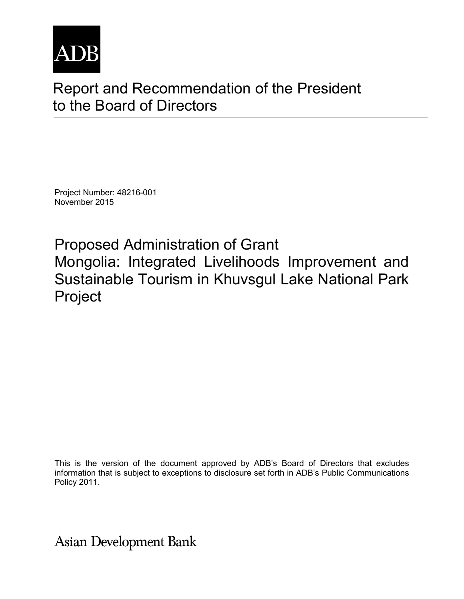

# Report and Recommendation of the President to the Board of Directors

Project Number: 48216-001 November 2015

Proposed Administration of Grant Mongolia: Integrated Livelihoods Improvement and Sustainable Tourism in Khuvsgul Lake National Park Project

This is the version of the document approved by ADB's Board of Directors that excludes information that is subject to exceptions to disclosure set forth in ADB's Public Communications Policy 2011.

**Asian Development Bank**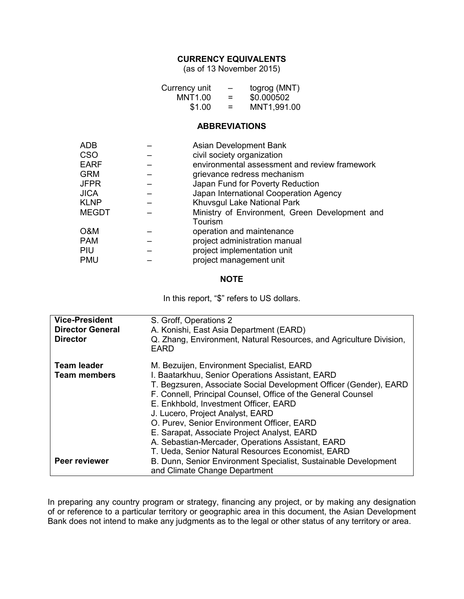#### **CURRENCY EQUIVALENTS**

(as of 13 November 2015)

| Currency unit | -   | togrog (MNT) |
|---------------|-----|--------------|
| MNT1.00       | =   | \$0.000502   |
| \$1.00        | $=$ | MNT1,991.00  |

#### **ABBREVIATIONS**

| <b>ADB</b>   | Asian Development Bank                                    |
|--------------|-----------------------------------------------------------|
| <b>CSO</b>   | civil society organization                                |
| <b>EARF</b>  | environmental assessment and review framework             |
| <b>GRM</b>   | grievance redress mechanism                               |
| <b>JFPR</b>  | Japan Fund for Poverty Reduction                          |
| <b>JICA</b>  | Japan International Cooperation Agency                    |
| <b>KLNP</b>  | Khuvsgul Lake National Park                               |
| <b>MEGDT</b> | Ministry of Environment, Green Development and<br>Tourism |
| O&M          | operation and maintenance                                 |
| <b>PAM</b>   | project administration manual                             |
| <b>PIU</b>   | project implementation unit                               |
| <b>PMU</b>   | project management unit                                   |

#### **NOTE**

In this report, "\$" refers to US dollars.

| <b>Vice-President</b><br><b>Director General</b><br><b>Director</b> | S. Groff, Operations 2<br>A. Konishi, East Asia Department (EARD)<br>Q. Zhang, Environment, Natural Resources, and Agriculture Division,<br>EARD                                                                                                                                                                                                                                                                                                                  |
|---------------------------------------------------------------------|-------------------------------------------------------------------------------------------------------------------------------------------------------------------------------------------------------------------------------------------------------------------------------------------------------------------------------------------------------------------------------------------------------------------------------------------------------------------|
| <b>Team leader</b><br><b>Team members</b>                           | M. Bezuijen, Environment Specialist, EARD<br>I. Baatarkhuu, Senior Operations Assistant, EARD<br>T. Begzsuren, Associate Social Development Officer (Gender), EARD<br>F. Connell, Principal Counsel, Office of the General Counsel<br>E. Enkhbold, Investment Officer, EARD<br>J. Lucero, Project Analyst, EARD<br>O. Purev, Senior Environment Officer, EARD<br>E. Sarapat, Associate Project Analyst, EARD<br>A. Sebastian-Mercader, Operations Assistant, EARD |
| Peer reviewer                                                       | T. Ueda, Senior Natural Resources Economist, EARD<br>B. Dunn, Senior Environment Specialist, Sustainable Development<br>and Climate Change Department                                                                                                                                                                                                                                                                                                             |

In preparing any country program or strategy, financing any project, or by making any designation of or reference to a particular territory or geographic area in this document, the Asian Development Bank does not intend to make any judgments as to the legal or other status of any territory or area.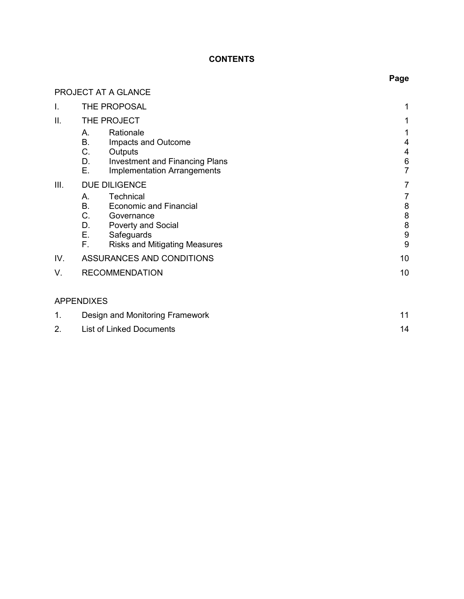# **CONTENTS**

|      |                                                                                         | Page                    |
|------|-----------------------------------------------------------------------------------------|-------------------------|
|      | PROJECT AT A GLANCE                                                                     |                         |
| I.   | THE PROPOSAL                                                                            | 1                       |
| II.  | THE PROJECT                                                                             |                         |
|      | Rationale<br>А.                                                                         |                         |
|      | B.<br>Impacts and Outcome                                                               | 4                       |
|      | C.<br>Outputs                                                                           | 4                       |
|      | D.<br><b>Investment and Financing Plans</b><br>Е.<br><b>Implementation Arrangements</b> | $\,6$<br>$\overline{7}$ |
| III. | <b>DUE DILIGENCE</b>                                                                    | 7                       |
|      | Technical<br>А.                                                                         | 7                       |
|      | <b>B.</b><br><b>Economic and Financial</b>                                              | 8                       |
|      | C <sub>1</sub><br>Governance                                                            | 8<br>8                  |
|      | D.<br><b>Poverty and Social</b><br>$E_{\rm{max}}$<br>Safeguards                         | 9                       |
|      | F.,<br><b>Risks and Mitigating Measures</b>                                             | 9                       |
| IV.  | ASSURANCES AND CONDITIONS                                                               | 10                      |
| V.   | <b>RECOMMENDATION</b>                                                                   | 10                      |
|      |                                                                                         |                         |
|      | <b>APPENDIXES</b>                                                                       |                         |
| 1.   | Design and Monitoring Framework                                                         | 11                      |

2. List of Linked Documents 14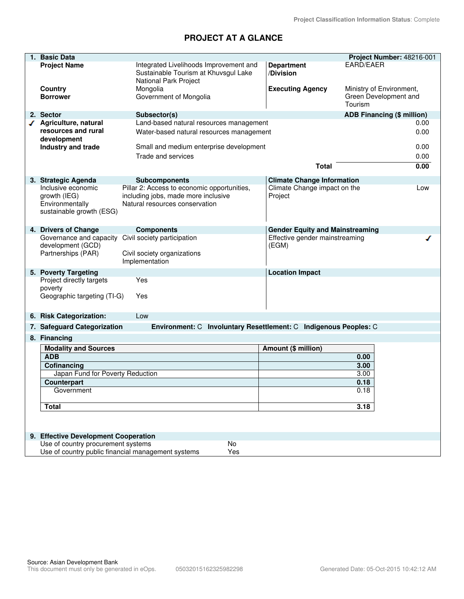# **PROJECT AT A GLANCE**

| 1. | <b>Basic Data</b>                                  |                                                                  |                                        | Project Number: 48216-001         |
|----|----------------------------------------------------|------------------------------------------------------------------|----------------------------------------|-----------------------------------|
|    | <b>Project Name</b>                                | Integrated Livelihoods Improvement and                           | <b>Department</b>                      | EARD/EAER                         |
|    |                                                    | Sustainable Tourism at Khuvsgul Lake<br>National Park Project    | /Division                              |                                   |
|    | Country                                            | Mongolia                                                         | <b>Executing Agency</b>                | Ministry of Environment,          |
|    | <b>Borrower</b>                                    | Government of Mongolia                                           |                                        | Green Development and<br>Tourism  |
|    | 2. Sector                                          | Subsector(s)                                                     |                                        | <b>ADB Financing (\$ million)</b> |
|    | Agriculture, natural                               | Land-based natural resources management                          |                                        | 0.00                              |
|    | resources and rural<br>development                 | Water-based natural resources management                         |                                        | 0.00                              |
|    | Industry and trade                                 | Small and medium enterprise development                          |                                        | 0.00                              |
|    |                                                    | Trade and services                                               |                                        | 0.00                              |
|    |                                                    |                                                                  | <b>Total</b>                           | 0.00                              |
|    |                                                    |                                                                  |                                        |                                   |
|    | 3. Strategic Agenda                                | <b>Subcomponents</b>                                             | <b>Climate Change Information</b>      |                                   |
|    | Inclusive economic                                 | Pillar 2: Access to economic opportunities,                      | Climate Change impact on the           | Low                               |
|    | growth (IEG)                                       | including jobs, made more inclusive                              | Project                                |                                   |
|    | Environmentally<br>sustainable growth (ESG)        | Natural resources conservation                                   |                                        |                                   |
|    |                                                    |                                                                  |                                        |                                   |
|    | 4. Drivers of Change                               |                                                                  | <b>Gender Equity and Mainstreaming</b> |                                   |
|    | Governance and capacity                            | <b>Components</b><br>Civil society participation                 | Effective gender mainstreaming         | ℐ                                 |
|    | development (GCD)                                  |                                                                  | (EGM)                                  |                                   |
|    | Partnerships (PAR)                                 | Civil society organizations                                      |                                        |                                   |
|    |                                                    | Implementation                                                   |                                        |                                   |
|    | 5. Poverty Targeting                               |                                                                  | <b>Location Impact</b>                 |                                   |
|    | Project directly targets                           | Yes                                                              |                                        |                                   |
|    | poverty                                            |                                                                  |                                        |                                   |
|    | Geographic targeting (TI-G)                        | Yes                                                              |                                        |                                   |
|    |                                                    |                                                                  |                                        |                                   |
|    | 6. Risk Categorization:                            | Low                                                              |                                        |                                   |
|    | 7. Safeguard Categorization                        | Environment: C Involuntary Resettlement: C Indigenous Peoples: C |                                        |                                   |
|    | 8. Financing                                       |                                                                  |                                        |                                   |
|    | <b>Modality and Sources</b>                        |                                                                  | <b>Amount (\$ million)</b>             |                                   |
|    | <b>ADB</b>                                         |                                                                  |                                        | 0.00                              |
|    | Cofinancing                                        |                                                                  |                                        | 3.00                              |
|    | Japan Fund for Poverty Reduction                   |                                                                  |                                        | 3.00                              |
|    | <b>Counterpart</b>                                 |                                                                  |                                        | 0.18                              |
|    | Government                                         |                                                                  |                                        | 0.18                              |
|    | <b>Total</b>                                       |                                                                  |                                        | 3.18                              |
|    |                                                    |                                                                  |                                        |                                   |
|    |                                                    |                                                                  |                                        |                                   |
|    | 9. Effective Development Cooperation               |                                                                  |                                        |                                   |
|    | Use of country procurement systems                 | No                                                               |                                        |                                   |
|    | Use of country public financial management systems | Yes                                                              |                                        |                                   |
|    |                                                    |                                                                  |                                        |                                   |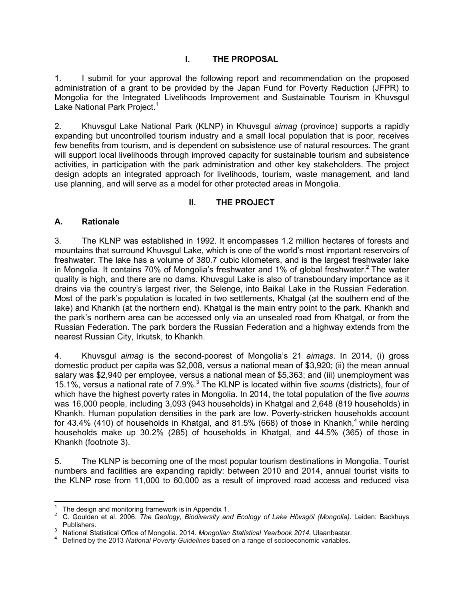# **I. THE PROPOSAL**

1. I submit for your approval the following report and recommendation on the proposed administration of a grant to be provided by the Japan Fund for Poverty Reduction (JFPR) to Mongolia for the Integrated Livelihoods Improvement and Sustainable Tourism in Khuvsgul Lake National Park Project.<sup>1</sup>

2. Khuvsgul Lake National Park (KLNP) in Khuvsgul *aimag* (province) supports a rapidly expanding but uncontrolled tourism industry and a small local population that is poor, receives few benefits from tourism, and is dependent on subsistence use of natural resources. The grant will support local livelihoods through improved capacity for sustainable tourism and subsistence activities, in participation with the park administration and other key stakeholders. The project design adopts an integrated approach for livelihoods, tourism, waste management, and land use planning, and will serve as a model for other protected areas in Mongolia.

# **II. THE PROJECT**

## **A. Rationale**

3. The KLNP was established in 1992. It encompasses 1.2 million hectares of forests and mountains that surround Khuvsgul Lake, which is one of the world's most important reservoirs of freshwater. The lake has a volume of 380.7 cubic kilometers, and is the largest freshwater lake in Mongolia. It contains 70% of Mongolia's freshwater and 1% of global freshwater.<sup>2</sup> The water quality is high, and there are no dams. Khuvsgul Lake is also of transboundary importance as it drains via the country's largest river, the Selenge, into Baikal Lake in the Russian Federation. Most of the park's population is located in two settlements, Khatgal (at the southern end of the lake) and Khankh (at the northern end). Khatgal is the main entry point to the park. Khankh and the park's northern area can be accessed only via an unsealed road from Khatgal, or from the Russian Federation. The park borders the Russian Federation and a highway extends from the nearest Russian City, Irkutsk, to Khankh.

4. Khuvsgul *aimag* is the second-poorest of Mongolia's 21 *aimags*. In 2014, (i) gross domestic product per capita was \$2,008, versus a national mean of \$3,920; (ii) the mean annual salary was \$2,940 per employee, versus a national mean of \$5,363; and (iii) unemployment was 15.1%, versus a national rate of 7.9%.<sup>3</sup> The KLNP is located within five *soums* (districts), four of which have the highest poverty rates in Mongolia. In 2014, the total population of the five *soums* was 16,000 people, including 3,093 (943 households) in Khatgal and 2,648 (819 households) in Khankh. Human population densities in the park are low. Poverty-stricken households account for 43.4% (410) of households in Khatgal, and 81.5% (668) of those in Khankh,<sup>4</sup> while herding households make up 30.2% (285) of households in Khatgal, and 44.5% (365) of those in Khankh (footnote 3).

5. The KLNP is becoming one of the most popular tourism destinations in Mongolia. Tourist numbers and facilities are expanding rapidly: between 2010 and 2014, annual tourist visits to the KLNP rose from 11,000 to 60,000 as a result of improved road access and reduced visa

<sup>|&</sup>lt;br>1 The design and monitoring framework is in Appendix 1.

<sup>2</sup> C. Goulden et al. 2006. *The Geology, Biodiversity and Ecology of Lake Hövsgöl (Mongolia).* Leiden: Backhuys Publishers. 3

National Statistical Office of Mongolia. 2014. *Mongolian Statistical Yearbook 2014.* Ulaanbaatar.

<sup>4</sup> Defined by the 2013 *National Poverty Guidelines* based on a range of socioeconomic variables.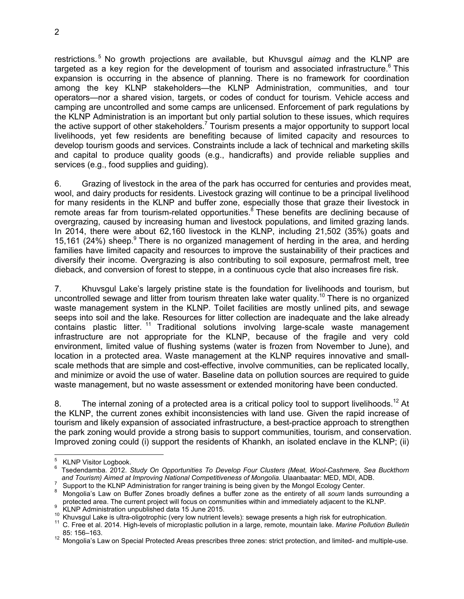restrictions.<sup>5</sup> No growth projections are available, but Khuvsgul *aimag* and the KLNP are targeted as a key region for the development of tourism and associated infrastructure.<sup>6</sup> This expansion is occurring in the absence of planning. There is no framework for coordination among the key KLNP stakeholders—the KLNP Administration, communities, and tour operators—nor a shared vision, targets, or codes of conduct for tourism. Vehicle access and camping are uncontrolled and some camps are unlicensed. Enforcement of park regulations by the KLNP Administration is an important but only partial solution to these issues, which requires the active support of other stakeholders.<sup>7</sup> Tourism presents a major opportunity to support local livelihoods, yet few residents are benefiting because of limited capacity and resources to develop tourism goods and services. Constraints include a lack of technical and marketing skills and capital to produce quality goods (e.g., handicrafts) and provide reliable supplies and services (e.g., food supplies and guiding).

6. Grazing of livestock in the area of the park has occurred for centuries and provides meat, wool, and dairy products for residents. Livestock grazing will continue to be a principal livelihood for many residents in the KLNP and buffer zone, especially those that graze their livestock in remote areas far from tourism-related opportunities.<sup>8</sup> These benefits are declining because of overgrazing, caused by increasing human and livestock populations, and limited grazing lands. In 2014, there were about 62,160 livestock in the KLNP, including 21,502 (35%) goats and 15,161 (24%) sheep.<sup>9</sup> There is no organized management of herding in the area, and herding families have limited capacity and resources to improve the sustainability of their practices and diversify their income. Overgrazing is also contributing to soil exposure, permafrost melt, tree dieback, and conversion of forest to steppe, in a continuous cycle that also increases fire risk.

7. Khuvsgul Lake's largely pristine state is the foundation for livelihoods and tourism, but uncontrolled sewage and litter from tourism threaten lake water quality.<sup>10</sup> There is no organized waste management system in the KLNP. Toilet facilities are mostly unlined pits, and sewage seeps into soil and the lake. Resources for litter collection are inadequate and the lake already contains plastic litter. <sup>11</sup> Traditional solutions involving large-scale waste management infrastructure are not appropriate for the KLNP, because of the fragile and very cold environment, limited value of flushing systems (water is frozen from November to June), and location in a protected area. Waste management at the KLNP requires innovative and smallscale methods that are simple and cost-effective, involve communities, can be replicated locally, and minimize or avoid the use of water. Baseline data on pollution sources are required to guide waste management, but no waste assessment or extended monitoring have been conducted.

8. The internal zoning of a protected area is a critical policy tool to support livelihoods.<sup>12</sup> At the KLNP, the current zones exhibit inconsistencies with land use. Given the rapid increase of tourism and likely expansion of associated infrastructure, a best-practice approach to strengthen the park zoning would provide a strong basis to support communities, tourism, and conservation. Improved zoning could (i) support the residents of Khankh, an isolated enclave in the KLNP; (ii)

<sup>—&</sup>lt;br>5 KLNP Visitor Logbook.

<sup>6</sup> Tsedendamba. 2012. *Study On Opportunities To Develop Four Clusters (Meat, Wool-Cashmere, Sea Buckthorn and Tourism) Aimed at Improving National Competitiveness of Mongolia.* Ulaanbaatar: MED, MDI, ADB.

<sup>7</sup> Support to the KLNP Administration for ranger training is being given by the Mongol Ecology Center.

<sup>8</sup> Mongolia's Law on Buffer Zones broadly defines a buffer zone as the entirety of all *soum* lands surrounding a protected area. The current project will focus on communities within and immediately adjacent to the KLNP.

<sup>9</sup> KLNP Administration unpublished data 15 June 2015.

<sup>&</sup>lt;sup>10</sup> Khuvsgul Lake is ultra-oligotrophic (very low nutrient levels): sewage presents a high risk for eutrophication.

<sup>11</sup> C. Free et al. 2014. High-levels of microplastic pollution in a large, remote, mountain lake. *Marine Pollution Bulletin* 85: 156–163.

<sup>&</sup>lt;sup>12</sup> Mongolia's Law on Special Protected Areas prescribes three zones: strict protection, and limited- and multiple-use.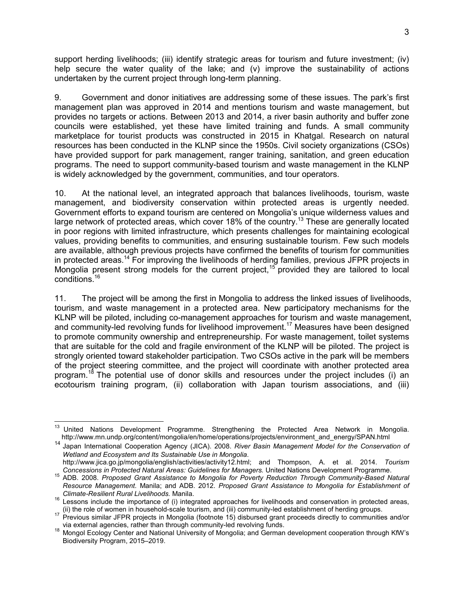support herding livelihoods; (iii) identify strategic areas for tourism and future investment; (iv) help secure the water quality of the lake; and (v) improve the sustainability of actions undertaken by the current project through long-term planning.

9. Government and donor initiatives are addressing some of these issues. The park's first management plan was approved in 2014 and mentions tourism and waste management, but provides no targets or actions. Between 2013 and 2014, a river basin authority and buffer zone councils were established, yet these have limited training and funds. A small community marketplace for tourist products was constructed in 2015 in Khatgal. Research on natural resources has been conducted in the KLNP since the 1950s. Civil society organizations (CSOs) have provided support for park management, ranger training, sanitation, and green education programs. The need to support community-based tourism and waste management in the KLNP is widely acknowledged by the government, communities, and tour operators.

10. At the national level, an integrated approach that balances livelihoods, tourism, waste management, and biodiversity conservation within protected areas is urgently needed. Government efforts to expand tourism are centered on Mongolia's unique wilderness values and large network of protected areas, which cover 18% of the country.<sup>13</sup> These are generally located in poor regions with limited infrastructure, which presents challenges for maintaining ecological values, providing benefits to communities, and ensuring sustainable tourism. Few such models are available, although previous projects have confirmed the benefits of tourism for communities in protected areas.<sup>14</sup> For improving the livelihoods of herding families, previous JFPR projects in Mongolia present strong models for the current project,  $15$  provided they are tailored to local conditions.<sup>16</sup>

11. The project will be among the first in Mongolia to address the linked issues of livelihoods, tourism, and waste management in a protected area. New participatory mechanisms for the KLNP will be piloted, including co-management approaches for tourism and waste management, and community-led revolving funds for livelihood improvement.<sup>17</sup> Measures have been designed to promote community ownership and entrepreneurship. For waste management, toilet systems that are suitable for the cold and fragile environment of the KLNP will be piloted. The project is strongly oriented toward stakeholder participation. Two CSOs active in the park will be members of the project steering committee, and the project will coordinate with another protected area program.<sup>18</sup> The potential use of donor skills and resources under the project includes (i) an ecotourism training program, (ii) collaboration with Japan tourism associations, and (iii)

 $\overline{1}$ <sup>13</sup> United Nations Development Programme. Strengthening the Protected Area Network in Mongolia. http://www.mn.undp.org/content/mongolia/en/home/operations/projects/environment\_and\_energy/SPAN.html

<sup>14</sup> Japan International Cooperation Agency (JICA). 2008. *River Basin Management Model for the Conservation of Wetland and Ecosystem and Its Sustainable Use in Mongolia*.

http://www.jica.go.jp/mongolia/english/activities/activity12.html; and Thompson, A. et al. 2014. *Tourism Concessions in Protected Natural Areas: Guidelines for Managers.* United Nations Development Programme.

<sup>15</sup> ADB. 2008. *Proposed Grant Assistance to Mongolia for Poverty Reduction Through Community-Based Natural Resource Management.* Manila; and ADB. 2012. *Proposed Grant Assistance to Mongolia for Establishment of Climate-Resilient Rural Livelihoods.* Manila.

 $16$  Lessons include the importance of (i) integrated approaches for livelihoods and conservation in protected areas, (ii) the role of women in household-scale tourism, and (iii) community-led establishment of herding groups.

 $17$  Previous similar JFPR projects in Mongolia (footnote 15) disbursed grant proceeds directly to communities and/or via external agencies, rather than through community-led revolving funds.

<sup>18</sup> Mongol Ecology Center and National University of Mongolia; and German development cooperation through KfW's Biodiversity Program, 2015–2019.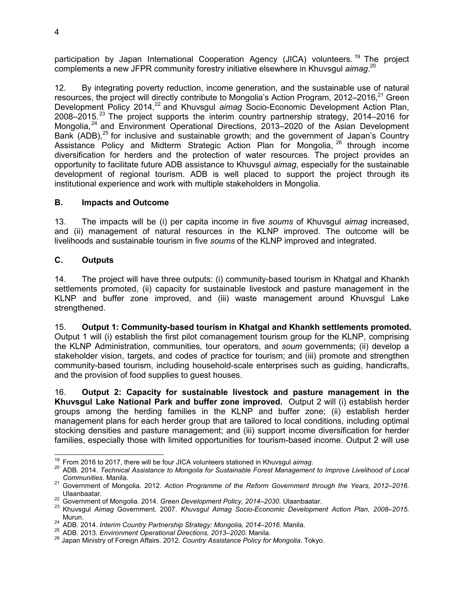participation by Japan International Cooperation Agency (JICA) volunteers.<sup>19</sup> The project complements a new JFPR community forestry initiative elsewhere in Khuvsgul *aimag*. 20

12. By integrating poverty reduction, income generation, and the sustainable use of natural resources, the project will directly contribute to Mongolia's Action Program, 2012–2016, $2^1$  Green Development Policy 2014,<sup>22</sup> and Khuvsgul *aimag* Socio-Economic Development Action Plan,  $2008-2015$ . <sup>23</sup> The project supports the interim country partnership strategy, 2014–2016 for Mongolia,<sup>24</sup> and Environment Operational Directions, 2013–2020 of the Asian Development Bank (ADB), $^{25}$  for inclusive and sustainable growth; and the government of Japan's Country Assistance Policy and Midterm Strategic Action Plan for Mongolia, <sup>26</sup> through income diversification for herders and the protection of water resources. The project provides an opportunity to facilitate future ADB assistance to Khuvsgul *aimag*, especially for the sustainable development of regional tourism. ADB is well placed to support the project through its institutional experience and work with multiple stakeholders in Mongolia.

## **B. Impacts and Outcome**

13. The impacts will be (i) per capita income in five *soums* of Khuvsgul *aimag* increased, and (ii) management of natural resources in the KLNP improved. The outcome will be livelihoods and sustainable tourism in five *soums* of the KLNP improved and integrated.

# **C. Outputs**

14. The project will have three outputs: (i) community-based tourism in Khatgal and Khankh settlements promoted, (ii) capacity for sustainable livestock and pasture management in the KLNP and buffer zone improved, and (iii) waste management around Khuvsgul Lake strengthened.

15. **Output 1: Community-based tourism in Khatgal and Khankh settlements promoted.** Output 1 will (i) establish the first pilot comanagement tourism group for the KLNP, comprising the KLNP Administration, communities, tour operators, and *soum* governments; (ii) develop a stakeholder vision, targets, and codes of practice for tourism; and (iii) promote and strengthen community-based tourism, including household-scale enterprises such as guiding, handicrafts, and the provision of food supplies to guest houses.

16. **Output 2: Capacity for sustainable livestock and pasture management in the Khuvsgul Lake National Park and buffer zone improved.** Output 2 will (i) establish herder groups among the herding families in the KLNP and buffer zone; (ii) establish herder management plans for each herder group that are tailored to local conditions, including optimal stocking densities and pasture management; and (iii) support income diversification for herder families, especially those with limited opportunities for tourism-based income. Output 2 will use

 $\overline{a}$ <sup>19</sup> From 2016 to 2017, there will be four JICA volunteers stationed in Khuvsgul *aimag*.

<sup>20</sup> ADB. 2014. *Technical Assistance to Mongolia for Sustainable Forest Management to Improve Livelihood of Local Communities*. Manila.

<sup>21</sup> Government of Mongolia. 2012. *Action Programme of the Reform Government through the Years, 2012–2016.* Ulaanbaatar.

<sup>22</sup> Government of Mongolia. 2014. *Green Development Policy, 2014–2030.* Ulaanbaatar.

<sup>23</sup> Khuvsgul *Aimag* Government. 2007. *Khuvsgul Aimag Socio-Economic Development Action Plan, 2008–2015.* Murun.

<sup>24</sup> ADB. 2014. *Interim Country Partnership Strategy: Mongolia, 2014–2016.* Manila.

<sup>25</sup> ADB. 2013. *Environment Operational Directions, 2013–2020*. Manila.

<sup>26</sup> Japan Ministry of Foreign Affairs. 2012. *Country Assistance Policy for Mongolia*. Tokyo.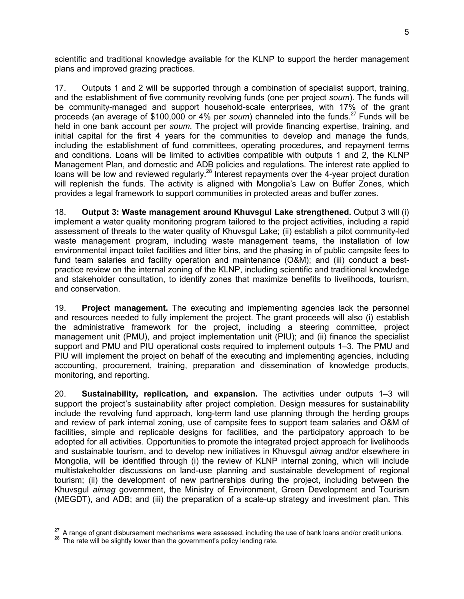scientific and traditional knowledge available for the KLNP to support the herder management plans and improved grazing practices.

17. Outputs 1 and 2 will be supported through a combination of specialist support, training, and the establishment of five community revolving funds (one per project *soum*). The funds will be community-managed and support household-scale enterprises, with 17% of the grant proceeds (an average of \$100,000 or 4% per *soum*) channeled into the funds.<sup>27</sup> Funds will be held in one bank account per *soum*. The project will provide financing expertise, training, and initial capital for the first 4 years for the communities to develop and manage the funds, including the establishment of fund committees, operating procedures, and repayment terms and conditions. Loans will be limited to activities compatible with outputs 1 and 2, the KLNP Management Plan, and domestic and ADB policies and regulations. The interest rate applied to loans will be low and reviewed regularly.<sup>28</sup> Interest repayments over the 4-year project duration will replenish the funds. The activity is aligned with Mongolia's Law on Buffer Zones, which provides a legal framework to support communities in protected areas and buffer zones.

18. **Output 3: Waste management around Khuvsgul Lake strengthened.** Output 3 will (i) implement a water quality monitoring program tailored to the project activities, including a rapid assessment of threats to the water quality of Khuvsgul Lake; (ii) establish a pilot community-led waste management program, including waste management teams, the installation of low environmental impact toilet facilities and litter bins, and the phasing in of public campsite fees to fund team salaries and facility operation and maintenance (O&M); and (iii) conduct a bestpractice review on the internal zoning of the KLNP, including scientific and traditional knowledge and stakeholder consultation, to identify zones that maximize benefits to livelihoods, tourism, and conservation.

19. **Project management.** The executing and implementing agencies lack the personnel and resources needed to fully implement the project. The grant proceeds will also (i) establish the administrative framework for the project, including a steering committee, project management unit (PMU), and project implementation unit (PIU); and (ii) finance the specialist support and PMU and PIU operational costs required to implement outputs 1–3. The PMU and PIU will implement the project on behalf of the executing and implementing agencies, including accounting, procurement, training, preparation and dissemination of knowledge products, monitoring, and reporting.

20. **Sustainability, replication, and expansion.** The activities under outputs 1–3 will support the project's sustainability after project completion. Design measures for sustainability include the revolving fund approach, long-term land use planning through the herding groups and review of park internal zoning, use of campsite fees to support team salaries and O&M of facilities, simple and replicable designs for facilities, and the participatory approach to be adopted for all activities. Opportunities to promote the integrated project approach for livelihoods and sustainable tourism, and to develop new initiatives in Khuvsgul *aimag* and/or elsewhere in Mongolia, will be identified through (i) the review of KLNP internal zoning, which will include multistakeholder discussions on land-use planning and sustainable development of regional tourism; (ii) the development of new partnerships during the project, including between the Khuvsgul *aimag* government, the Ministry of Environment, Green Development and Tourism (MEGDT), and ADB; and (iii) the preparation of a scale-up strategy and investment plan. This

 $\overline{a}$ 

 $27 \text{ A}$  range of grant disbursement mechanisms were assessed, including the use of bank loans and/or credit unions.

 $28$  The rate will be slightly lower than the government's policy lending rate.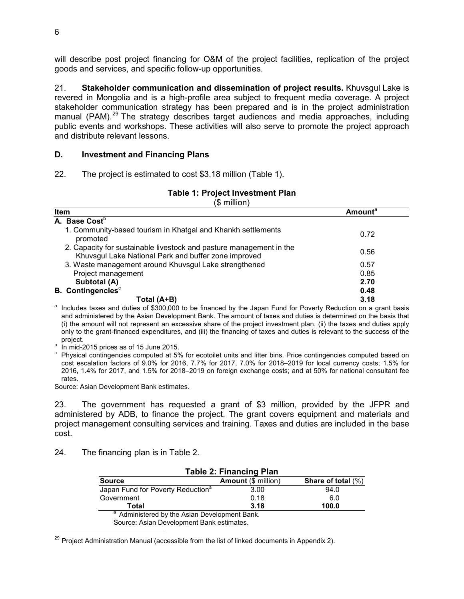will describe post project financing for O&M of the project facilities, replication of the project goods and services, and specific follow-up opportunities.

21. **Stakeholder communication and dissemination of project results.** Khuvsgul Lake is revered in Mongolia and is a high-profile area subject to frequent media coverage. A project stakeholder communication strategy has been prepared and is in the project administration manual (PAM). $^{29}$  The strategy describes target audiences and media approaches, including public events and workshops. These activities will also serve to promote the project approach and distribute relevant lessons.

#### **D. Investment and Financing Plans**

22. The project is estimated to cost \$3.18 million (Table 1).

## **Table 1: Project Investment Plan**

(\$ million)

| Item | <b>Amount</b> <sup>a</sup>                                                                                                  |      |
|------|-----------------------------------------------------------------------------------------------------------------------------|------|
|      | A. Base Cost $^{\rm b}$ .                                                                                                   |      |
|      | 1. Community-based tourism in Khatgal and Khankh settlements<br>promoted                                                    | 0.72 |
|      | 2. Capacity for sustainable livestock and pasture management in the<br>Khuvsgul Lake National Park and buffer zone improved | 0.56 |
|      | 3. Waste management around Khuvsgul Lake strengthened                                                                       | 0.57 |
|      | Project management                                                                                                          | 0.85 |
|      | Subtotal (A)                                                                                                                | 2.70 |
|      | <b>B.</b> Contingencies $^{\circ}$                                                                                          | 0.48 |
|      | Total (A+B)<br>$\overline{2}$                                                                                               | 3.18 |

 $a$  Includes taxes and duties of \$300,000 to be financed by the Japan Fund for Poverty Reduction on a grant basis and administered by the Asian Development Bank. The amount of taxes and duties is determined on the basis that (i) the amount will not represent an excessive share of the project investment plan, (ii) the taxes and duties apply only to the grant-financed expenditures, and (iii) the financing of taxes and duties is relevant to the success of the project.

b In mid-2015 prices as of 15 June 2015.

c Physical contingencies computed at 5% for ecotoilet units and litter bins. Price contingencies computed based on cost escalation factors of 9.0% for 2016, 7.7% for 2017, 7.0% for 2018–2019 for local currency costs; 1.5% for 2016, 1.4% for 2017, and 1.5% for 2018–2019 on foreign exchange costs; and at 50% for national consultant fee rates.

Source: Asian Development Bank estimates.

23. The government has requested a grant of \$3 million, provided by the JFPR and administered by ADB, to finance the project. The grant covers equipment and materials and project management consulting services and training. Taxes and duties are included in the base cost.

24. The financing plan is in Table 2.

| <b>Table 2: Financing Plan</b>                                           |      |      |  |  |
|--------------------------------------------------------------------------|------|------|--|--|
| <b>Share of total (%)</b><br><b>Amount (\$ million)</b><br><b>Source</b> |      |      |  |  |
| Japan Fund for Poverty Reduction <sup>a</sup>                            | 3.00 | 94.0 |  |  |
| Government                                                               | 0.18 | 6.0  |  |  |
| 3.18<br>100.0<br>Total                                                   |      |      |  |  |
| <sup>a</sup> Administered by the Asian Development Bank.                 |      |      |  |  |
|                                                                          |      |      |  |  |

Source: Asian Development Bank estimates.

 <sup>29</sup> Project Administration Manual (accessible from the list of linked documents in Appendix 2).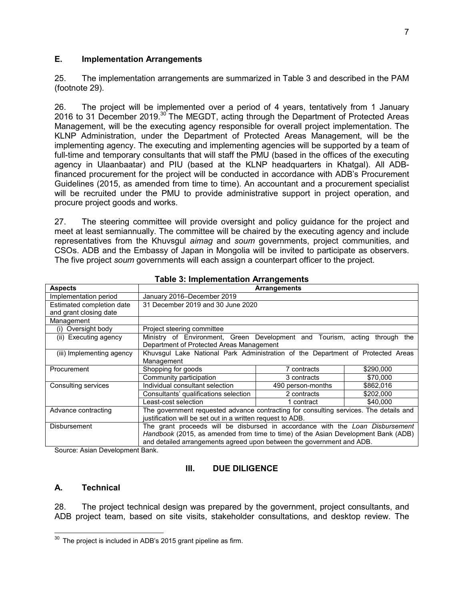## **E. Implementation Arrangements**

25. The implementation arrangements are summarized in Table 3 and described in the PAM (footnote 29).

26. The project will be implemented over a period of 4 years, tentatively from 1 January 2016 to 31 December 2019.<sup>30</sup> The MEGDT, acting through the Department of Protected Areas Management, will be the executing agency responsible for overall project implementation. The KLNP Administration, under the Department of Protected Areas Management, will be the implementing agency. The executing and implementing agencies will be supported by a team of full-time and temporary consultants that will staff the PMU (based in the offices of the executing agency in Ulaanbaatar) and PIU (based at the KLNP headquarters in Khatgal). All ADBfinanced procurement for the project will be conducted in accordance with ADB's Procurement Guidelines (2015, as amended from time to time). An accountant and a procurement specialist will be recruited under the PMU to provide administrative support in project operation, and procure project goods and works.

27. The steering committee will provide oversight and policy guidance for the project and meet at least semiannually. The committee will be chaired by the executing agency and include representatives from the Khuvsgul *aimag* and *soum* governments, project communities, and CSOs. ADB and the Embassy of Japan in Mongolia will be invited to participate as observers. The five project *soum* governments will each assign a counterpart officer to the project.

| <b>Aspects</b>            | <b>Arrangements</b>                                                                   |                                |           |
|---------------------------|---------------------------------------------------------------------------------------|--------------------------------|-----------|
| Implementation period     | January 2016-December 2019                                                            |                                |           |
| Estimated completion date | 31 December 2019 and 30 June 2020                                                     |                                |           |
| and grant closing date    |                                                                                       |                                |           |
| Management                |                                                                                       |                                |           |
| (i) Oversight body        | Project steering committee                                                            |                                |           |
| (ii) Executing agency     | Ministry of Environment, Green Development and Tourism, acting through the            |                                |           |
|                           | Department of Protected Areas Management                                              |                                |           |
| (iii) Implementing agency | Khuvsgul Lake National Park Administration of the Department of Protected Areas       |                                |           |
|                           | Management                                                                            |                                |           |
| Procurement               | Shopping for goods                                                                    | 7 contracts                    | \$290,000 |
|                           | Community participation                                                               | 3 contracts                    | \$70,000  |
| Consulting services       | Individual consultant selection                                                       | \$862,016<br>490 person-months |           |
|                           | Consultants' qualifications selection                                                 | 2 contracts                    | \$202.000 |
|                           | Least-cost selection                                                                  | 1 contract                     | \$40,000  |
| Advance contracting       | The government requested advance contracting for consulting services. The details and |                                |           |
|                           | justification will be set out in a written request to ADB.                            |                                |           |
| <b>Disbursement</b>       | The grant proceeds will be disbursed in accordance with the Loan Disbursement         |                                |           |
|                           | Handbook (2015, as amended from time to time) of the Asian Development Bank (ADB)     |                                |           |
|                           | and detailed arrangements agreed upon between the government and ADB.                 |                                |           |

**Table 3: Implementation Arrangements** 

Source: Asian Development Bank.

#### **III. DUE DILIGENCE**

## **A. Technical**

28. The project technical design was prepared by the government, project consultants, and ADB project team, based on site visits, stakeholder consultations, and desktop review. The

<sup>-</sup> $30$  The project is included in ADB's 2015 grant pipeline as firm.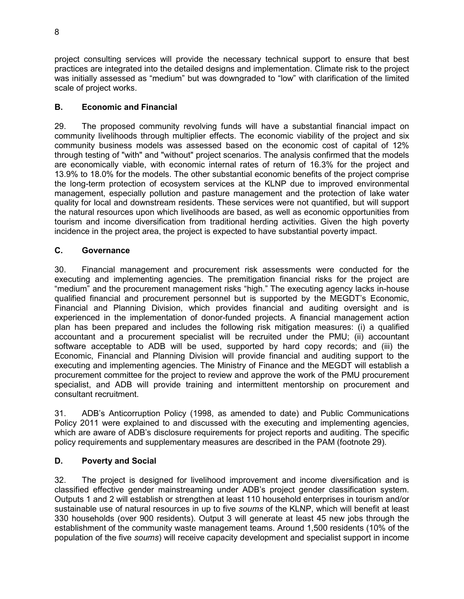project consulting services will provide the necessary technical support to ensure that best practices are integrated into the detailed designs and implementation. Climate risk to the project was initially assessed as "medium" but was downgraded to "low" with clarification of the limited scale of project works.

# **B. Economic and Financial**

29. The proposed community revolving funds will have a substantial financial impact on community livelihoods through multiplier effects. The economic viability of the project and six community business models was assessed based on the economic cost of capital of 12% through testing of "with" and "without" project scenarios. The analysis confirmed that the models are economically viable, with economic internal rates of return of 16.3% for the project and 13.9% to 18.0% for the models. The other substantial economic benefits of the project comprise the long-term protection of ecosystem services at the KLNP due to improved environmental management, especially pollution and pasture management and the protection of lake water quality for local and downstream residents. These services were not quantified, but will support the natural resources upon which livelihoods are based, as well as economic opportunities from tourism and income diversification from traditional herding activities. Given the high poverty incidence in the project area, the project is expected to have substantial poverty impact.

# **C. Governance**

30. Financial management and procurement risk assessments were conducted for the executing and implementing agencies. The premitigation financial risks for the project are "medium" and the procurement management risks "high." The executing agency lacks in-house qualified financial and procurement personnel but is supported by the MEGDT's Economic, Financial and Planning Division, which provides financial and auditing oversight and is experienced in the implementation of donor-funded projects. A financial management action plan has been prepared and includes the following risk mitigation measures: (i) a qualified accountant and a procurement specialist will be recruited under the PMU; (ii) accountant software acceptable to ADB will be used, supported by hard copy records; and (iii) the Economic, Financial and Planning Division will provide financial and auditing support to the executing and implementing agencies. The Ministry of Finance and the MEGDT will establish a procurement committee for the project to review and approve the work of the PMU procurement specialist, and ADB will provide training and intermittent mentorship on procurement and consultant recruitment.

31. ADB's Anticorruption Policy (1998, as amended to date) and Public Communications Policy 2011 were explained to and discussed with the executing and implementing agencies, which are aware of ADB's disclosure requirements for project reports and auditing. The specific policy requirements and supplementary measures are described in the PAM (footnote 29).

# **D. Poverty and Social**

32. The project is designed for livelihood improvement and income diversification and is classified effective gender mainstreaming under ADB's project gender classification system. Outputs 1 and 2 will establish or strengthen at least 110 household enterprises in tourism and/or sustainable use of natural resources in up to five *soums* of the KLNP, which will benefit at least 330 households (over 900 residents). Output 3 will generate at least 45 new jobs through the establishment of the community waste management teams. Around 1,500 residents (10% of the population of the five *soums*) will receive capacity development and specialist support in income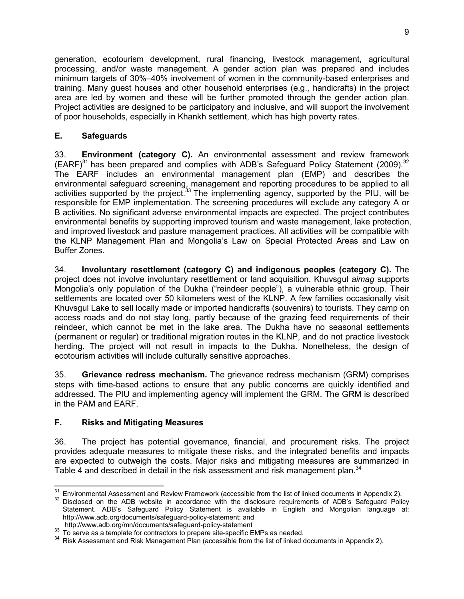generation, ecotourism development, rural financing, livestock management, agricultural processing, and/or waste management. A gender action plan was prepared and includes minimum targets of 30%–40% involvement of women in the community-based enterprises and training. Many guest houses and other household enterprises (e.g., handicrafts) in the project area are led by women and these will be further promoted through the gender action plan. Project activities are designed to be participatory and inclusive, and will support the involvement of poor households, especially in Khankh settlement, which has high poverty rates.

# **E. Safeguards**

33. **Environment (category C).** An environmental assessment and review framework  $(EARF)^{31}$  has been prepared and complies with ADB's Safeguard Policy Statement (2009).<sup>32</sup> The EARF includes an environmental management plan (EMP) and describes the environmental safeguard screening, management and reporting procedures to be applied to all activities supported by the project.<sup>33</sup> The implementing agency, supported by the PIU, will be responsible for EMP implementation. The screening procedures will exclude any category A or B activities. No significant adverse environmental impacts are expected. The project contributes environmental benefits by supporting improved tourism and waste management, lake protection, and improved livestock and pasture management practices. All activities will be compatible with the KLNP Management Plan and Mongolia's Law on Special Protected Areas and Law on Buffer Zones.

34. **Involuntary resettlement (category C) and indigenous peoples (category C).** The project does not involve involuntary resettlement or land acquisition. Khuvsgul *aimag* supports Mongolia's only population of the Dukha ("reindeer people"), a vulnerable ethnic group. Their settlements are located over 50 kilometers west of the KLNP. A few families occasionally visit Khuvsgul Lake to sell locally made or imported handicrafts (souvenirs) to tourists. They camp on access roads and do not stay long, partly because of the grazing feed requirements of their reindeer, which cannot be met in the lake area. The Dukha have no seasonal settlements (permanent or regular) or traditional migration routes in the KLNP, and do not practice livestock herding. The project will not result in impacts to the Dukha. Nonetheless, the design of ecotourism activities will include culturally sensitive approaches.

35. **Grievance redress mechanism.** The grievance redress mechanism (GRM) comprises steps with time-based actions to ensure that any public concerns are quickly identified and addressed. The PIU and implementing agency will implement the GRM. The GRM is described in the PAM and EARF.

# **F. Risks and Mitigating Measures**

36. The project has potential governance, financial, and procurement risks. The project provides adequate measures to mitigate these risks, and the integrated benefits and impacts are expected to outweigh the costs. Major risks and mitigating measures are summarized in Table 4 and described in detail in the risk assessment and risk management plan.<sup>34</sup>

 $31$ <sup>31</sup>Environmental Assessment and Review Framework (accessible from the list of linked documents in Appendix 2).

<sup>32</sup> Disclosed on the ADB website in accordance with the disclosure requirements of ADB's Safeguard Policy Statement. ADB's Safeguard Policy Statement is available in English and Mongolian language at: http://www.adb.org/documents/safeguard-policy-statement; and

http://www.adb.org/mn/documents/safeguard-policy-statement

<sup>33</sup> To serve as a template for contractors to prepare site-specific EMPs as needed.

<sup>&</sup>lt;sup>34</sup> Risk Assessment and Risk Management Plan (accessible from the list of linked documents in Appendix 2).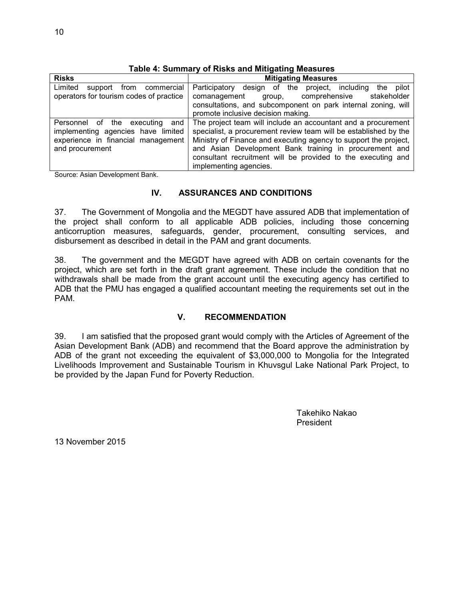| <b>Risks</b>                                                                                                                        | <b>Mitigating Measures</b>                                                                                                                                                                                                                                                                                                                                |  |  |
|-------------------------------------------------------------------------------------------------------------------------------------|-----------------------------------------------------------------------------------------------------------------------------------------------------------------------------------------------------------------------------------------------------------------------------------------------------------------------------------------------------------|--|--|
| commercial<br>Limited<br>from<br>support<br>operators for tourism codes of practice                                                 | Participatory design of the project, including<br>pilot<br>the<br>comprehensive<br>stakeholder<br>comanagement<br>group.<br>consultations, and subcomponent on park internal zoning, will<br>promote inclusive decision making.                                                                                                                           |  |  |
| the executing<br>Personnel of<br>and<br>implementing agencies have limited<br>experience in financial management<br>and procurement | The project team will include an accountant and a procurement<br>specialist, a procurement review team will be established by the<br>Ministry of Finance and executing agency to support the project,<br>and Asian Development Bank training in procurement and<br>consultant recruitment will be provided to the executing and<br>implementing agencies. |  |  |

#### **Table 4: Summary of Risks and Mitigating Measures**

Source: Asian Development Bank.

## **IV. ASSURANCES AND CONDITIONS**

37. The Government of Mongolia and the MEGDT have assured ADB that implementation of the project shall conform to all applicable ADB policies, including those concerning anticorruption measures, safeguards, gender, procurement, consulting services, and disbursement as described in detail in the PAM and grant documents.

38. The government and the MEGDT have agreed with ADB on certain covenants for the project, which are set forth in the draft grant agreement. These include the condition that no withdrawals shall be made from the grant account until the executing agency has certified to ADB that the PMU has engaged a qualified accountant meeting the requirements set out in the PAM.

## **V. RECOMMENDATION**

39. I am satisfied that the proposed grant would comply with the Articles of Agreement of the Asian Development Bank (ADB) and recommend that the Board approve the administration by ADB of the grant not exceeding the equivalent of \$3,000,000 to Mongolia for the Integrated Livelihoods Improvement and Sustainable Tourism in Khuvsgul Lake National Park Project, to be provided by the Japan Fund for Poverty Reduction.

> Takehiko Nakao President

13 November 2015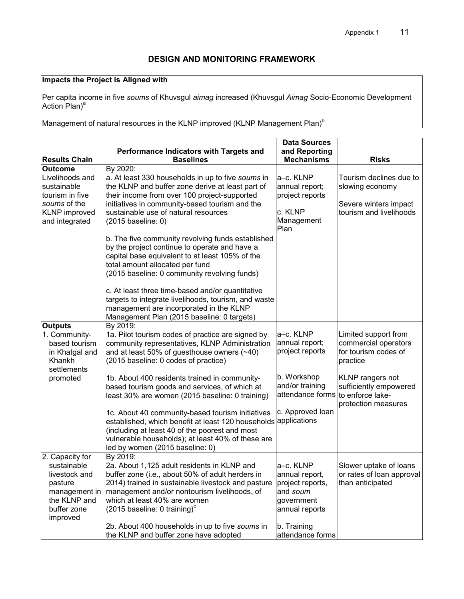# **DESIGN AND MONITORING FRAMEWORK**

# **Impacts the Project is Aligned with**

Per capita income in five *soums* of Khuvsgul *aimag* increased (Khuvsgul *Aimag* Socio-Economic Development Action Plan)<sup>a</sup>

Management of natural resources in the KLNP improved (KLNP Management Plan) $<sup>b</sup>$ </sup>

| <b>Results Chain</b>                                                                                        | Performance Indicators with Targets and<br><b>Baselines</b>                                                                                                                                                                                                                                                                                                                                                                                   | <b>Data Sources</b><br>and Reporting<br><b>Mechanisms</b>                                   | <b>Risks</b>                                                                                   |
|-------------------------------------------------------------------------------------------------------------|-----------------------------------------------------------------------------------------------------------------------------------------------------------------------------------------------------------------------------------------------------------------------------------------------------------------------------------------------------------------------------------------------------------------------------------------------|---------------------------------------------------------------------------------------------|------------------------------------------------------------------------------------------------|
| <b>Outcome</b>                                                                                              | By 2020:                                                                                                                                                                                                                                                                                                                                                                                                                                      |                                                                                             |                                                                                                |
| Livelihoods and<br>sustainable<br>tourism in five<br>soums of the<br><b>KLNP</b> improved<br>and integrated | a. At least 330 households in up to five soums in<br>the KLNP and buffer zone derive at least part of<br>their income from over 100 project-supported<br>initiatives in community-based tourism and the<br>sustainable use of natural resources<br>(2015 baseline: 0)                                                                                                                                                                         | a-c. KLNP<br>annual report;<br>project reports<br>c. KLNP<br>Management<br>Plan             | Tourism declines due to<br>slowing economy<br>Severe winters impact<br>tourism and livelihoods |
|                                                                                                             | b. The five community revolving funds established<br>by the project continue to operate and have a<br>capital base equivalent to at least 105% of the<br>total amount allocated per fund<br>(2015 baseline: 0 community revolving funds)<br>c. At least three time-based and/or quantitative<br>targets to integrate livelihoods, tourism, and waste<br>management are incorporated in the KLNP<br>Management Plan (2015 baseline: 0 targets) |                                                                                             |                                                                                                |
| <b>Outputs</b>                                                                                              | By 2019:                                                                                                                                                                                                                                                                                                                                                                                                                                      |                                                                                             |                                                                                                |
| 1. Community-<br>based tourism<br>in Khatgal and<br>Khankh<br>settlements                                   | 1a. Pilot tourism codes of practice are signed by<br>community representatives, KLNP Administration<br>and at least 50% of guesthouse owners $(-40)$<br>(2015 baseline: 0 codes of practice)                                                                                                                                                                                                                                                  | a-c. KLNP<br>annual report;<br>project reports                                              | Limited support from<br>commercial operators<br>for tourism codes of<br>practice               |
| promoted                                                                                                    | 1b. About 400 residents trained in community-<br>based tourism goods and services, of which at<br>least 30% are women (2015 baseline: 0 training)                                                                                                                                                                                                                                                                                             | b. Workshop<br>and/or training<br>attendance forms                                          | KLNP rangers not<br>sufficiently empowered<br>to enforce lake-<br>protection measures          |
|                                                                                                             | 1c. About 40 community-based tourism initiatives<br>established, which benefit at least 120 households applications<br>(including at least 40 of the poorest and most<br>vulnerable households); at least 40% of these are<br>led by women (2015 baseline: 0)                                                                                                                                                                                 | c. Approved loan                                                                            |                                                                                                |
| 2. Capacity for                                                                                             | By 2019:                                                                                                                                                                                                                                                                                                                                                                                                                                      |                                                                                             |                                                                                                |
| sustainable<br>livestock and<br>pasture<br>management in<br>the KLNP and<br>buffer zone<br>improved         | 2a. About 1,125 adult residents in KLNP and<br>buffer zone (i.e., about 50% of adult herders in<br>2014) trained in sustainable livestock and pasture<br>management and/or nontourism livelihoods, of<br>which at least 40% are women<br>(2015 baseline: 0 training) $\text{c}$                                                                                                                                                               | a-c. KLNP<br>annual report,<br>project reports,<br>and soum<br>government<br>annual reports | Slower uptake of loans<br>or rates of loan approval<br>than anticipated                        |
|                                                                                                             | 2b. About 400 households in up to five soums in<br>the KLNP and buffer zone have adopted                                                                                                                                                                                                                                                                                                                                                      | b. Training<br>attendance forms                                                             |                                                                                                |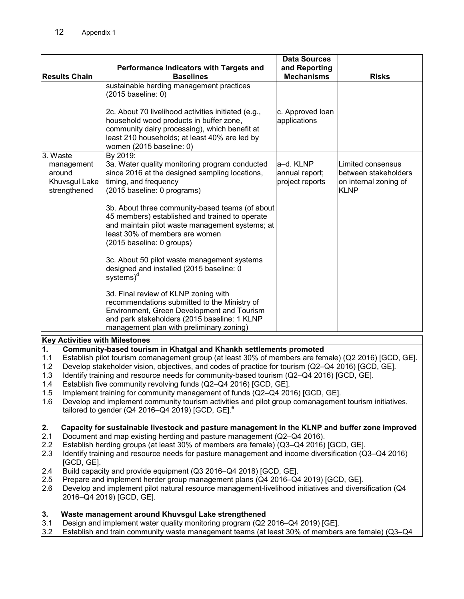|                                                                                                                                                                                                                                                                                                                                                                                                                                                                                                                                                                                                                                                                                                                                                               | Performance Indicators with Targets and                                                                                                                                                                                                                                                                                                                                  | <b>Data Sources</b><br>and Reporting           |                                                                                   |
|---------------------------------------------------------------------------------------------------------------------------------------------------------------------------------------------------------------------------------------------------------------------------------------------------------------------------------------------------------------------------------------------------------------------------------------------------------------------------------------------------------------------------------------------------------------------------------------------------------------------------------------------------------------------------------------------------------------------------------------------------------------|--------------------------------------------------------------------------------------------------------------------------------------------------------------------------------------------------------------------------------------------------------------------------------------------------------------------------------------------------------------------------|------------------------------------------------|-----------------------------------------------------------------------------------|
| <b>Results Chain</b>                                                                                                                                                                                                                                                                                                                                                                                                                                                                                                                                                                                                                                                                                                                                          | <b>Baselines</b>                                                                                                                                                                                                                                                                                                                                                         | <b>Mechanisms</b>                              | <b>Risks</b>                                                                      |
|                                                                                                                                                                                                                                                                                                                                                                                                                                                                                                                                                                                                                                                                                                                                                               | sustainable herding management practices<br>(2015 baseline: 0)                                                                                                                                                                                                                                                                                                           |                                                |                                                                                   |
|                                                                                                                                                                                                                                                                                                                                                                                                                                                                                                                                                                                                                                                                                                                                                               | 2c. About 70 livelihood activities initiated (e.g.,<br>household wood products in buffer zone,<br>community dairy processing), which benefit at<br>least 210 households; at least 40% are led by<br>women (2015 baseline: 0)                                                                                                                                             | c. Approved loan<br>applications               |                                                                                   |
| 3. Waste<br>management<br>around<br>Khuvsgul Lake<br>strengthened                                                                                                                                                                                                                                                                                                                                                                                                                                                                                                                                                                                                                                                                                             | By 2019:<br>3a. Water quality monitoring program conducted<br>since 2016 at the designed sampling locations,<br>timing, and frequency<br>(2015 baseline: 0 programs)                                                                                                                                                                                                     | a-d. KLNP<br>annual report;<br>project reports | Limited consensus<br>between stakeholders<br>on internal zoning of<br><b>KLNP</b> |
|                                                                                                                                                                                                                                                                                                                                                                                                                                                                                                                                                                                                                                                                                                                                                               | 3b. About three community-based teams (of about<br>45 members) established and trained to operate<br>and maintain pilot waste management systems; at<br>least 30% of members are women<br>(2015 baseline: 0 groups)                                                                                                                                                      |                                                |                                                                                   |
|                                                                                                                                                                                                                                                                                                                                                                                                                                                                                                                                                                                                                                                                                                                                                               | 3c. About 50 pilot waste management systems<br>designed and installed (2015 baseline: 0<br>systems) <sup>d</sup>                                                                                                                                                                                                                                                         |                                                |                                                                                   |
|                                                                                                                                                                                                                                                                                                                                                                                                                                                                                                                                                                                                                                                                                                                                                               | 3d. Final review of KLNP zoning with<br>recommendations submitted to the Ministry of<br>Environment, Green Development and Tourism<br>and park stakeholders (2015 baseline: 1 KLNP<br>management plan with preliminary zoning)                                                                                                                                           |                                                |                                                                                   |
| <b>Key Activities with Milestones</b>                                                                                                                                                                                                                                                                                                                                                                                                                                                                                                                                                                                                                                                                                                                         |                                                                                                                                                                                                                                                                                                                                                                          |                                                |                                                                                   |
| 1.<br>Community-based tourism in Khatgal and Khankh settlements promoted<br>1.1<br>Establish pilot tourism comanagement group (at least 30% of members are female) (Q2 2016) [GCD, GE].<br>1.2<br>Develop stakeholder vision, objectives, and codes of practice for tourism (Q2-Q4 2016) [GCD, GE].<br>1.3<br>Identify training and resource needs for community-based tourism (Q2-Q4 2016) [GCD, GE].<br>1.4<br>Establish five community revolving funds (Q2-Q4 2016) [GCD, GE].<br>1.5<br>Implement training for community management of funds (Q2-Q4 2016) [GCD, GE].<br>1.6<br>Develop and implement community tourism activities and pilot group comanagement tourism initiatives,<br>tailored to gender ( $Q4$ 2016– $Q4$ 2019) [GCD, GE]. <sup>e</sup> |                                                                                                                                                                                                                                                                                                                                                                          |                                                |                                                                                   |
| 2.<br>2.1<br>2.2<br>2.3<br>[GCD, GE].                                                                                                                                                                                                                                                                                                                                                                                                                                                                                                                                                                                                                                                                                                                         | Capacity for sustainable livestock and pasture management in the KLNP and buffer zone improved<br>Document and map existing herding and pasture management (Q2-Q4 2016).<br>Establish herding groups (at least 30% of members are female) (Q3-Q4 2016) [GCD, GE].<br>Identify training and resource needs for pasture management and income diversification (Q3-Q4 2016) |                                                |                                                                                   |
| 2.4<br>2.5<br>2.6                                                                                                                                                                                                                                                                                                                                                                                                                                                                                                                                                                                                                                                                                                                                             | Build capacity and provide equipment (Q3 2016–Q4 2018) [GCD, GE].<br>Prepare and implement herder group management plans (Q4 2016-Q4 2019) [GCD, GE].<br>Develop and implement pilot natural resource management-livelihood initiatives and diversification (Q4<br>2016-Q4 2019) [GCD, GE].                                                                              |                                                |                                                                                   |
| 3.<br>3.1<br>3.2                                                                                                                                                                                                                                                                                                                                                                                                                                                                                                                                                                                                                                                                                                                                              | Waste management around Khuvsgul Lake strengthened<br>Design and implement water quality monitoring program (Q2 2016-Q4 2019) [GE].<br>Establish and train community waste management teams (at least 30% of members are female) (Q3–Q4                                                                                                                                  |                                                |                                                                                   |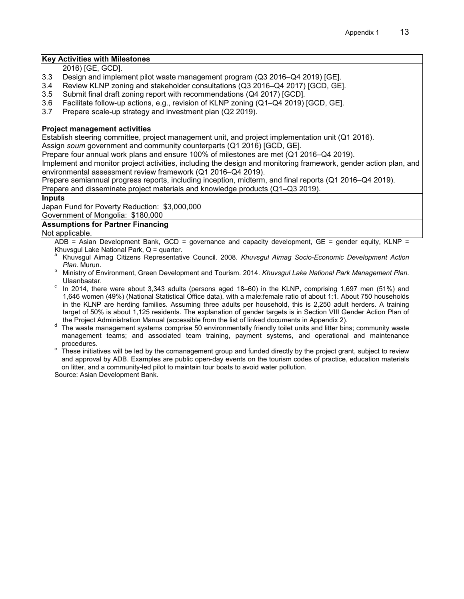#### **Key Activities with Milestones**

2016) [GE, GCD].

- 3.3 Design and implement pilot waste management program (Q3 2016–Q4 2019) [GE].
- 3.4 Review KLNP zoning and stakeholder consultations (Q3 2016–Q4 2017) [GCD, GE].
- 3.5 Submit final draft zoning report with recommendations (Q4 2017) [GCD].
- 3.6 Facilitate follow-up actions, e.g., revision of KLNP zoning (Q1–Q4 2019) [GCD, GE].
- 3.7 Prepare scale-up strategy and investment plan (Q2 2019).

#### **Project management activities**

Establish steering committee, project management unit, and project implementation unit (Q1 2016).

Assign *soum* government and community counterparts (Q1 2016) [GCD, GE].

Prepare four annual work plans and ensure 100% of milestones are met (Q1 2016–Q4 2019).

Implement and monitor project activities, including the design and monitoring framework, gender action plan, and environmental assessment review framework (Q1 2016–Q4 2019).

Prepare semiannual progress reports, including inception, midterm, and final reports (Q1 2016–Q4 2019).

Prepare and disseminate project materials and knowledge products (Q1–Q3 2019).

#### **Inputs**

Japan Fund for Poverty Reduction: \$3,000,000

Government of Mongolia: \$180,000

#### **Assumptions for Partner Financing**

Not applicable.

 $ADB =$  Asian Development Bank, GCD = governance and capacity development, GE = gender equity, KLNP = Khuvsgul Lake National Park, Q = quarter.

- a Khuvsgul Aimag Citizens Representative Council. 2008. *Khuvsgul Aimag Socio-Economic Development Action Plan*. Murun.
- b Ministry of Environment, Green Development and Tourism. 2014. *Khuvsgul Lake National Park Management Plan*. Ulaanbaatar.
- c In 2014, there were about 3,343 adults (persons aged 18–60) in the KLNP, comprising 1,697 men (51%) and 1,646 women (49%) (National Statistical Office data), with a male:female ratio of about 1:1. About 750 households in the KLNP are herding families. Assuming three adults per household, this is 2,250 adult herders. A training target of 50% is about 1,125 residents. The explanation of gender targets is in Section VIII Gender Action Plan of the Project Administration Manual (accessible from the list of linked documents in Appendix 2).
- d The waste management systems comprise 50 environmentally friendly toilet units and litter bins; community waste management teams; and associated team training, payment systems, and operational and maintenance procedures.
- e These initiatives will be led by the comanagement group and funded directly by the project grant, subject to review and approval by ADB. Examples are public open-day events on the tourism codes of practice, education materials on litter, and a community-led pilot to maintain tour boats to avoid water pollution.

Source: Asian Development Bank.